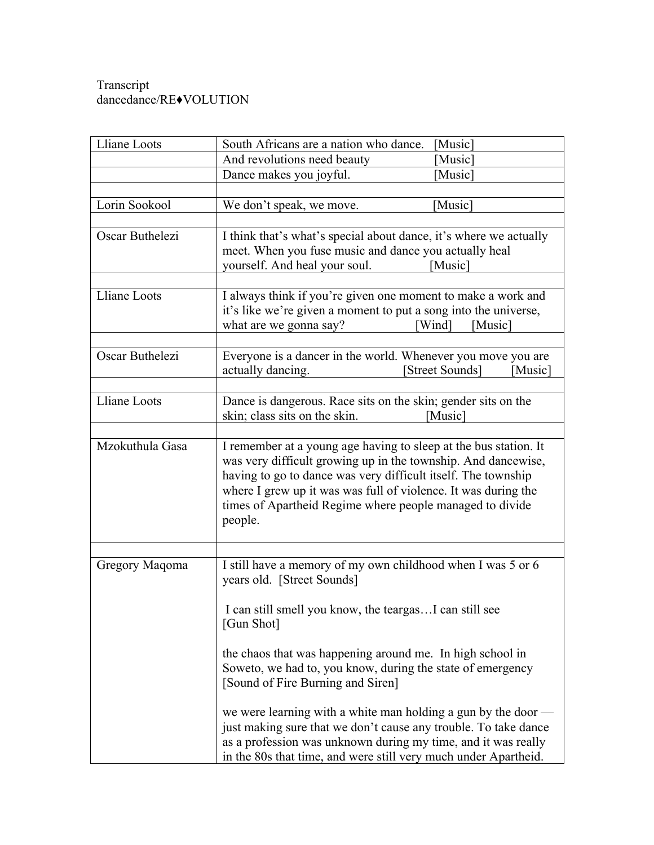## Transcript dancedance/RE♦VOLUTION

| Lliane Loots    | South Africans are a nation who dance.<br>[Music]                                                                                                                                                                                                                                                                                           |
|-----------------|---------------------------------------------------------------------------------------------------------------------------------------------------------------------------------------------------------------------------------------------------------------------------------------------------------------------------------------------|
|                 | And revolutions need beauty<br>[Music]                                                                                                                                                                                                                                                                                                      |
|                 | Dance makes you joyful.<br>[Music]                                                                                                                                                                                                                                                                                                          |
|                 |                                                                                                                                                                                                                                                                                                                                             |
| Lorin Sookool   | We don't speak, we move.<br>[Music]                                                                                                                                                                                                                                                                                                         |
|                 |                                                                                                                                                                                                                                                                                                                                             |
| Oscar Buthelezi | I think that's what's special about dance, it's where we actually<br>meet. When you fuse music and dance you actually heal<br>yourself. And heal your soul.<br>[Music]                                                                                                                                                                      |
| Lliane Loots    | I always think if you're given one moment to make a work and<br>it's like we're given a moment to put a song into the universe,<br>what are we gonna say?<br>[Wind]<br>[Music]                                                                                                                                                              |
|                 |                                                                                                                                                                                                                                                                                                                                             |
| Oscar Buthelezi | Everyone is a dancer in the world. Whenever you move you are<br>actually dancing.<br>[Street Sounds]<br>[Music]                                                                                                                                                                                                                             |
| Lliane Loots    |                                                                                                                                                                                                                                                                                                                                             |
|                 | Dance is dangerous. Race sits on the skin; gender sits on the<br>skin; class sits on the skin.<br>[Music]                                                                                                                                                                                                                                   |
|                 |                                                                                                                                                                                                                                                                                                                                             |
| Mzokuthula Gasa | I remember at a young age having to sleep at the bus station. It<br>was very difficult growing up in the township. And dancewise,<br>having to go to dance was very difficult itself. The township<br>where I grew up it was was full of violence. It was during the<br>times of Apartheid Regime where people managed to divide<br>people. |
|                 |                                                                                                                                                                                                                                                                                                                                             |
| Gregory Maqoma  | I still have a memory of my own childhood when I was 5 or 6<br>years old. [Street Sounds]<br>I can still smell you know, the teargasI can still see<br>[Gun Shot]                                                                                                                                                                           |
|                 | the chaos that was happening around me. In high school in<br>Soweto, we had to, you know, during the state of emergency<br>[Sound of Fire Burning and Siren]                                                                                                                                                                                |
|                 | we were learning with a white man holding a gun by the door -<br>just making sure that we don't cause any trouble. To take dance<br>as a profession was unknown during my time, and it was really<br>in the 80s that time, and were still very much under Apartheid.                                                                        |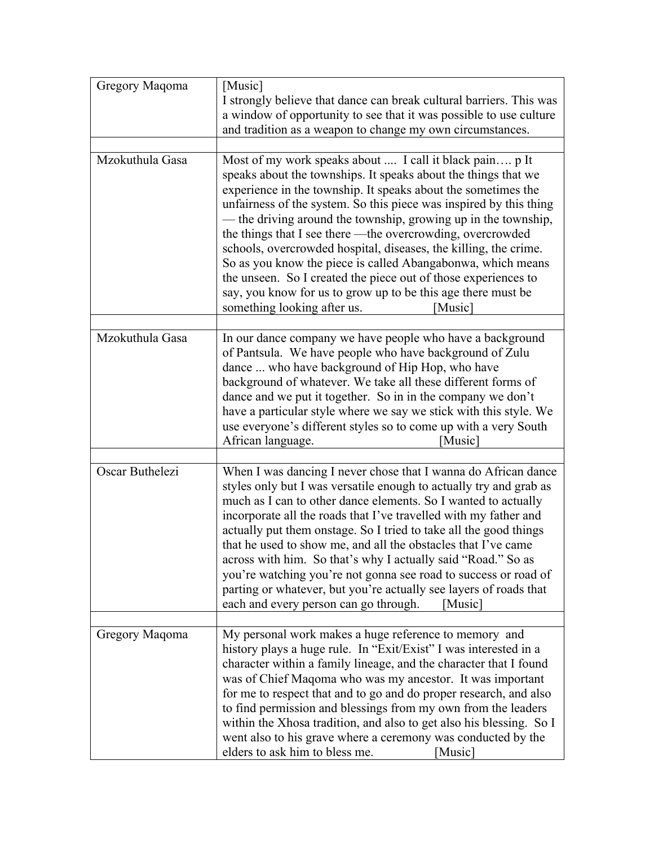| Gregory Maqoma  | [Music]<br>I strongly believe that dance can break cultural barriers. This was<br>a window of opportunity to see that it was possible to use culture<br>and tradition as a weapon to change my own circumstances.                                                                                                                                                                                                                                                                                                                                                                                                                                                                                               |
|-----------------|-----------------------------------------------------------------------------------------------------------------------------------------------------------------------------------------------------------------------------------------------------------------------------------------------------------------------------------------------------------------------------------------------------------------------------------------------------------------------------------------------------------------------------------------------------------------------------------------------------------------------------------------------------------------------------------------------------------------|
|                 |                                                                                                                                                                                                                                                                                                                                                                                                                                                                                                                                                                                                                                                                                                                 |
| Mzokuthula Gasa | Most of my work speaks about  I call it black pain p It<br>speaks about the townships. It speaks about the things that we<br>experience in the township. It speaks about the sometimes the<br>unfairness of the system. So this piece was inspired by this thing<br>— the driving around the township, growing up in the township,<br>the things that I see there —the overcrowding, overcrowded<br>schools, overcrowded hospital, diseases, the killing, the crime.<br>So as you know the piece is called Abangabonwa, which means<br>the unseen. So I created the piece out of those experiences to<br>say, you know for us to grow up to be this age there must be<br>something looking after us.<br>[Music] |
| Mzokuthula Gasa | In our dance company we have people who have a background<br>of Pantsula. We have people who have background of Zulu<br>dance  who have background of Hip Hop, who have<br>background of whatever. We take all these different forms of<br>dance and we put it together. So in in the company we don't<br>have a particular style where we say we stick with this style. We<br>use everyone's different styles so to come up with a very South<br>African language.<br>[Music]                                                                                                                                                                                                                                  |
| Oscar Buthelezi | When I was dancing I never chose that I wanna do African dance<br>styles only but I was versatile enough to actually try and grab as<br>much as I can to other dance elements. So I wanted to actually<br>incorporate all the roads that I've travelled with my father and<br>actually put them onstage. So I tried to take all the good things<br>that he used to show me, and all the obstacles that I've came<br>across with him. So that's why I actually said "Road." So as<br>you're watching you're not gonna see road to success or road of<br>parting or whatever, but you're actually see layers of roads that<br>each and every person can go through.<br>[Music]                                    |
|                 |                                                                                                                                                                                                                                                                                                                                                                                                                                                                                                                                                                                                                                                                                                                 |
| Gregory Maqoma  | My personal work makes a huge reference to memory and<br>history plays a huge rule. In "Exit/Exist" I was interested in a<br>character within a family lineage, and the character that I found<br>was of Chief Maqoma who was my ancestor. It was important<br>for me to respect that and to go and do proper research, and also<br>to find permission and blessings from my own from the leaders<br>within the Xhosa tradition, and also to get also his blessing. So I<br>went also to his grave where a ceremony was conducted by the<br>elders to ask him to bless me.<br>[Music]                                                                                                                           |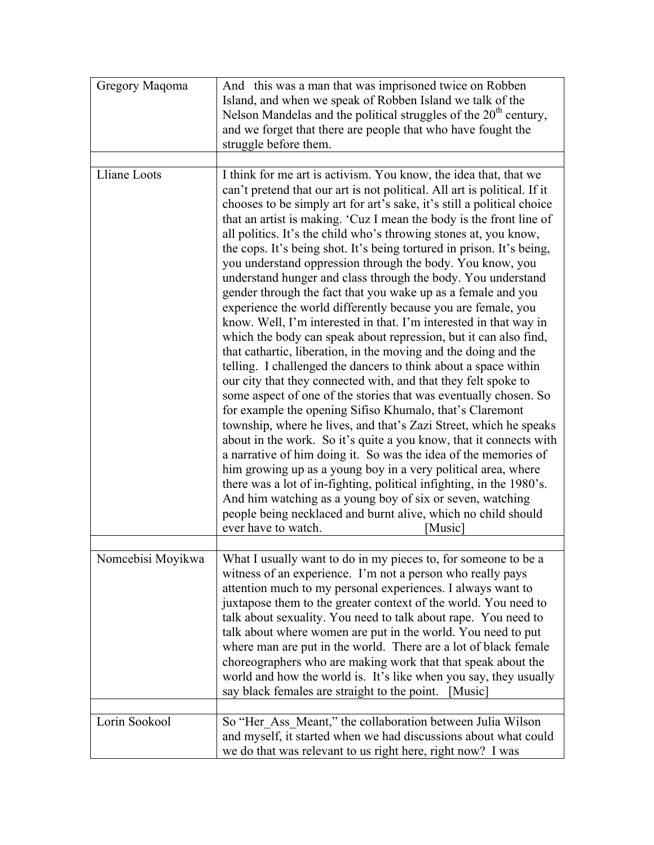| Gregory Maqoma    | And this was a man that was imprisoned twice on Robben<br>Island, and when we speak of Robben Island we talk of the<br>Nelson Mandelas and the political struggles of the $20th$ century,<br>and we forget that there are people that who have fought the<br>struggle before them.                                                                                                                                                                                                                                                                                                                                                                                                                                                                                                                                                                                                                                                                                                                                                                                                                                                                                                                                                                                                                                                                                                                                                                                                                                                                                                                                                                                                                              |
|-------------------|-----------------------------------------------------------------------------------------------------------------------------------------------------------------------------------------------------------------------------------------------------------------------------------------------------------------------------------------------------------------------------------------------------------------------------------------------------------------------------------------------------------------------------------------------------------------------------------------------------------------------------------------------------------------------------------------------------------------------------------------------------------------------------------------------------------------------------------------------------------------------------------------------------------------------------------------------------------------------------------------------------------------------------------------------------------------------------------------------------------------------------------------------------------------------------------------------------------------------------------------------------------------------------------------------------------------------------------------------------------------------------------------------------------------------------------------------------------------------------------------------------------------------------------------------------------------------------------------------------------------------------------------------------------------------------------------------------------------|
|                   |                                                                                                                                                                                                                                                                                                                                                                                                                                                                                                                                                                                                                                                                                                                                                                                                                                                                                                                                                                                                                                                                                                                                                                                                                                                                                                                                                                                                                                                                                                                                                                                                                                                                                                                 |
| Lliane Loots      | I think for me art is activism. You know, the idea that, that we<br>can't pretend that our art is not political. All art is political. If it<br>chooses to be simply art for art's sake, it's still a political choice<br>that an artist is making. 'Cuz I mean the body is the front line of<br>all politics. It's the child who's throwing stones at, you know,<br>the cops. It's being shot. It's being tortured in prison. It's being,<br>you understand oppression through the body. You know, you<br>understand hunger and class through the body. You understand<br>gender through the fact that you wake up as a female and you<br>experience the world differently because you are female, you<br>know. Well, I'm interested in that. I'm interested in that way in<br>which the body can speak about repression, but it can also find,<br>that cathartic, liberation, in the moving and the doing and the<br>telling. I challenged the dancers to think about a space within<br>our city that they connected with, and that they felt spoke to<br>some aspect of one of the stories that was eventually chosen. So<br>for example the opening Sifiso Khumalo, that's Claremont<br>township, where he lives, and that's Zazi Street, which he speaks<br>about in the work. So it's quite a you know, that it connects with<br>a narrative of him doing it. So was the idea of the memories of<br>him growing up as a young boy in a very political area, where<br>there was a lot of in-fighting, political infighting, in the 1980's.<br>And him watching as a young boy of six or seven, watching<br>people being necklaced and burnt alive, which no child should<br>ever have to watch.<br>[Music] |
|                   |                                                                                                                                                                                                                                                                                                                                                                                                                                                                                                                                                                                                                                                                                                                                                                                                                                                                                                                                                                                                                                                                                                                                                                                                                                                                                                                                                                                                                                                                                                                                                                                                                                                                                                                 |
| Nomcebisi Moyikwa | What I usually want to do in my pieces to, for someone to be a<br>witness of an experience. I'm not a person who really pays<br>attention much to my personal experiences. I always want to<br>juxtapose them to the greater context of the world. You need to<br>talk about sexuality. You need to talk about rape. You need to<br>talk about where women are put in the world. You need to put<br>where man are put in the world. There are a lot of black female<br>choreographers who are making work that that speak about the<br>world and how the world is. It's like when you say, they usually<br>say black females are straight to the point.<br>[Music]                                                                                                                                                                                                                                                                                                                                                                                                                                                                                                                                                                                                                                                                                                                                                                                                                                                                                                                                                                                                                                              |
| Lorin Sookool     | So "Her_Ass_Meant," the collaboration between Julia Wilson                                                                                                                                                                                                                                                                                                                                                                                                                                                                                                                                                                                                                                                                                                                                                                                                                                                                                                                                                                                                                                                                                                                                                                                                                                                                                                                                                                                                                                                                                                                                                                                                                                                      |
|                   | and myself, it started when we had discussions about what could<br>we do that was relevant to us right here, right now? I was                                                                                                                                                                                                                                                                                                                                                                                                                                                                                                                                                                                                                                                                                                                                                                                                                                                                                                                                                                                                                                                                                                                                                                                                                                                                                                                                                                                                                                                                                                                                                                                   |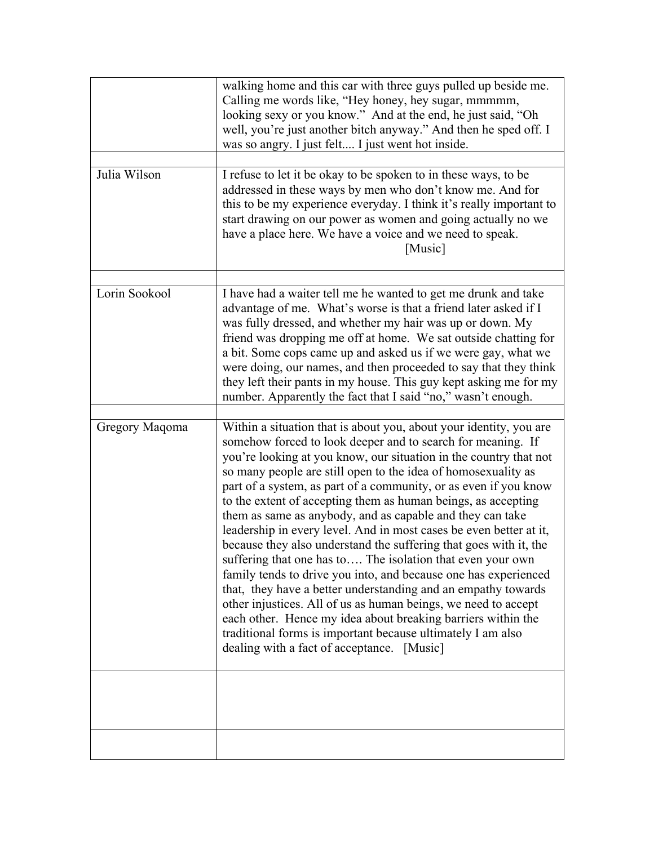|                | walking home and this car with three guys pulled up beside me.<br>Calling me words like, "Hey honey, hey sugar, mmmmm,<br>looking sexy or you know." And at the end, he just said, "Oh<br>well, you're just another bitch anyway." And then he sped off. I<br>was so angry. I just felt I just went hot inside.                                                                                                                                                                                                                                                                                                                                                                                                                                                                                                                                                                                                                                                                                                                                                       |
|----------------|-----------------------------------------------------------------------------------------------------------------------------------------------------------------------------------------------------------------------------------------------------------------------------------------------------------------------------------------------------------------------------------------------------------------------------------------------------------------------------------------------------------------------------------------------------------------------------------------------------------------------------------------------------------------------------------------------------------------------------------------------------------------------------------------------------------------------------------------------------------------------------------------------------------------------------------------------------------------------------------------------------------------------------------------------------------------------|
|                |                                                                                                                                                                                                                                                                                                                                                                                                                                                                                                                                                                                                                                                                                                                                                                                                                                                                                                                                                                                                                                                                       |
| Julia Wilson   | I refuse to let it be okay to be spoken to in these ways, to be<br>addressed in these ways by men who don't know me. And for<br>this to be my experience everyday. I think it's really important to<br>start drawing on our power as women and going actually no we<br>have a place here. We have a voice and we need to speak.<br>[Music]                                                                                                                                                                                                                                                                                                                                                                                                                                                                                                                                                                                                                                                                                                                            |
|                |                                                                                                                                                                                                                                                                                                                                                                                                                                                                                                                                                                                                                                                                                                                                                                                                                                                                                                                                                                                                                                                                       |
| Lorin Sookool  | I have had a waiter tell me he wanted to get me drunk and take<br>advantage of me. What's worse is that a friend later asked if I<br>was fully dressed, and whether my hair was up or down. My<br>friend was dropping me off at home. We sat outside chatting for<br>a bit. Some cops came up and asked us if we were gay, what we<br>were doing, our names, and then proceeded to say that they think<br>they left their pants in my house. This guy kept asking me for my<br>number. Apparently the fact that I said "no," wasn't enough.                                                                                                                                                                                                                                                                                                                                                                                                                                                                                                                           |
|                |                                                                                                                                                                                                                                                                                                                                                                                                                                                                                                                                                                                                                                                                                                                                                                                                                                                                                                                                                                                                                                                                       |
| Gregory Maqoma | Within a situation that is about you, about your identity, you are<br>somehow forced to look deeper and to search for meaning. If<br>you're looking at you know, our situation in the country that not<br>so many people are still open to the idea of homosexuality as<br>part of a system, as part of a community, or as even if you know<br>to the extent of accepting them as human beings, as accepting<br>them as same as anybody, and as capable and they can take<br>leadership in every level. And in most cases be even better at it,<br>because they also understand the suffering that goes with it, the<br>suffering that one has to The isolation that even your own<br>family tends to drive you into, and because one has experienced<br>that, they have a better understanding and an empathy towards<br>other injustices. All of us as human beings, we need to accept<br>each other. Hence my idea about breaking barriers within the<br>traditional forms is important because ultimately I am also<br>dealing with a fact of acceptance. [Music] |
|                |                                                                                                                                                                                                                                                                                                                                                                                                                                                                                                                                                                                                                                                                                                                                                                                                                                                                                                                                                                                                                                                                       |
|                |                                                                                                                                                                                                                                                                                                                                                                                                                                                                                                                                                                                                                                                                                                                                                                                                                                                                                                                                                                                                                                                                       |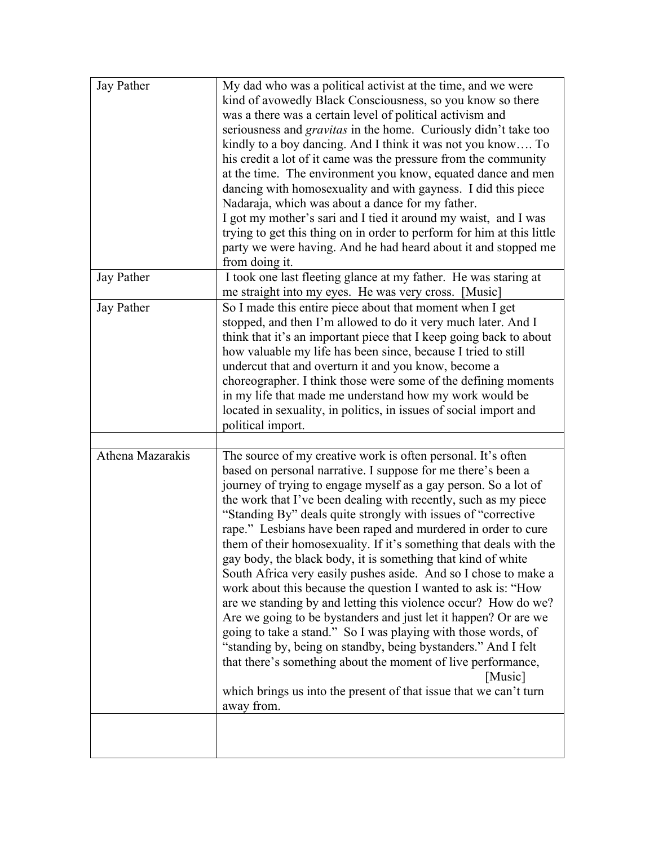| Jay Pather       | My dad who was a political activist at the time, and we were<br>kind of avowedly Black Consciousness, so you know so there<br>was a there was a certain level of political activism and<br>seriousness and <i>gravitas</i> in the home. Curiously didn't take too<br>kindly to a boy dancing. And I think it was not you know To<br>his credit a lot of it came was the pressure from the community<br>at the time. The environment you know, equated dance and men<br>dancing with homosexuality and with gayness. I did this piece<br>Nadaraja, which was about a dance for my father.<br>I got my mother's sari and I tied it around my waist, and I was<br>trying to get this thing on in order to perform for him at this little                                                                                                                                                                                                                                                                                                                                                                                |
|------------------|----------------------------------------------------------------------------------------------------------------------------------------------------------------------------------------------------------------------------------------------------------------------------------------------------------------------------------------------------------------------------------------------------------------------------------------------------------------------------------------------------------------------------------------------------------------------------------------------------------------------------------------------------------------------------------------------------------------------------------------------------------------------------------------------------------------------------------------------------------------------------------------------------------------------------------------------------------------------------------------------------------------------------------------------------------------------------------------------------------------------|
|                  | party we were having. And he had heard about it and stopped me<br>from doing it.                                                                                                                                                                                                                                                                                                                                                                                                                                                                                                                                                                                                                                                                                                                                                                                                                                                                                                                                                                                                                                     |
| Jay Pather       | I took one last fleeting glance at my father. He was staring at<br>me straight into my eyes. He was very cross. [Music]                                                                                                                                                                                                                                                                                                                                                                                                                                                                                                                                                                                                                                                                                                                                                                                                                                                                                                                                                                                              |
| Jay Pather       | So I made this entire piece about that moment when I get<br>stopped, and then I'm allowed to do it very much later. And I<br>think that it's an important piece that I keep going back to about<br>how valuable my life has been since, because I tried to still<br>undercut that and overturn it and you know, become a<br>choreographer. I think those were some of the defining moments<br>in my life that made me understand how my work would be<br>located in sexuality, in politics, in issues of social import and<br>political import.                                                                                                                                                                                                                                                                                                                                                                                                                                                                                                                                                                      |
|                  |                                                                                                                                                                                                                                                                                                                                                                                                                                                                                                                                                                                                                                                                                                                                                                                                                                                                                                                                                                                                                                                                                                                      |
| Athena Mazarakis | The source of my creative work is often personal. It's often<br>based on personal narrative. I suppose for me there's been a<br>journey of trying to engage myself as a gay person. So a lot of<br>the work that I've been dealing with recently, such as my piece<br>"Standing By" deals quite strongly with issues of "corrective"<br>rape." Lesbians have been raped and murdered in order to cure<br>them of their homosexuality. If it's something that deals with the<br>gay body, the black body, it is something that kind of white<br>South Africa very easily pushes aside. And so I chose to make a<br>work about this because the question I wanted to ask is: "How<br>are we standing by and letting this violence occur? How do we?<br>Are we going to be bystanders and just let it happen? Or are we<br>going to take a stand." So I was playing with those words, of<br>"standing by, being on standby, being bystanders." And I felt<br>that there's something about the moment of live performance,<br>[Music]<br>which brings us into the present of that issue that we can't turn<br>away from. |
|                  |                                                                                                                                                                                                                                                                                                                                                                                                                                                                                                                                                                                                                                                                                                                                                                                                                                                                                                                                                                                                                                                                                                                      |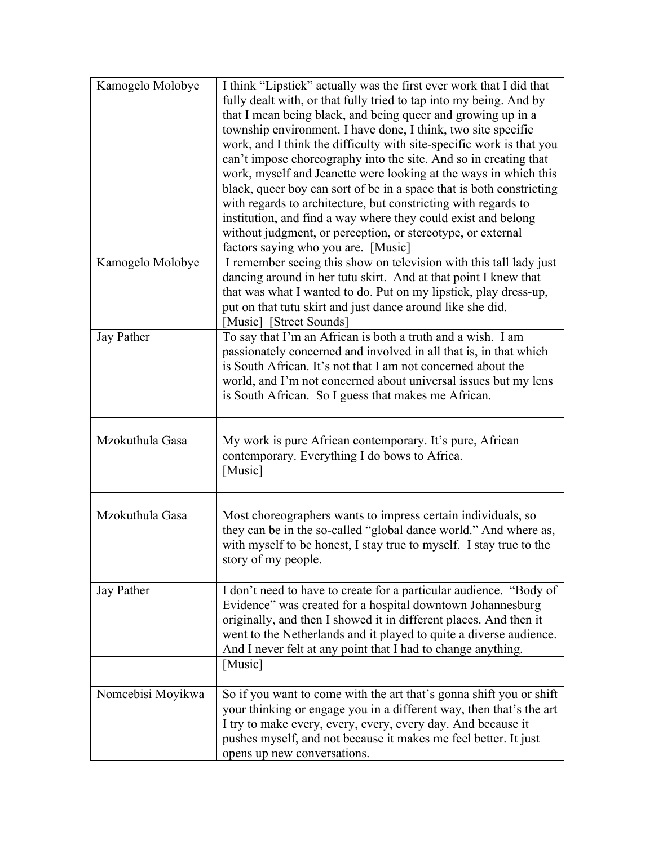| Kamogelo Molobye  | I think "Lipstick" actually was the first ever work that I did that<br>fully dealt with, or that fully tried to tap into my being. And by<br>that I mean being black, and being queer and growing up in a<br>township environment. I have done, I think, two site specific<br>work, and I think the difficulty with site-specific work is that you<br>can't impose choreography into the site. And so in creating that<br>work, myself and Jeanette were looking at the ways in which this<br>black, queer boy can sort of be in a space that is both constricting<br>with regards to architecture, but constricting with regards to<br>institution, and find a way where they could exist and belong<br>without judgment, or perception, or stereotype, or external<br>factors saying who you are. [Music] |
|-------------------|-------------------------------------------------------------------------------------------------------------------------------------------------------------------------------------------------------------------------------------------------------------------------------------------------------------------------------------------------------------------------------------------------------------------------------------------------------------------------------------------------------------------------------------------------------------------------------------------------------------------------------------------------------------------------------------------------------------------------------------------------------------------------------------------------------------|
| Kamogelo Molobye  | I remember seeing this show on television with this tall lady just<br>dancing around in her tutu skirt. And at that point I knew that<br>that was what I wanted to do. Put on my lipstick, play dress-up,<br>put on that tutu skirt and just dance around like she did.<br>[Music] [Street Sounds]                                                                                                                                                                                                                                                                                                                                                                                                                                                                                                          |
| Jay Pather        | To say that I'm an African is both a truth and a wish. I am<br>passionately concerned and involved in all that is, in that which<br>is South African. It's not that I am not concerned about the<br>world, and I'm not concerned about universal issues but my lens<br>is South African. So I guess that makes me African.                                                                                                                                                                                                                                                                                                                                                                                                                                                                                  |
| Mzokuthula Gasa   | My work is pure African contemporary. It's pure, African<br>contemporary. Everything I do bows to Africa.<br>[Music]                                                                                                                                                                                                                                                                                                                                                                                                                                                                                                                                                                                                                                                                                        |
| Mzokuthula Gasa   | Most choreographers wants to impress certain individuals, so<br>they can be in the so-called "global dance world." And where as,<br>with myself to be honest, I stay true to myself. I stay true to the<br>story of my people.                                                                                                                                                                                                                                                                                                                                                                                                                                                                                                                                                                              |
| Jay Pather        | I don't need to have to create for a particular audience. "Body of<br>Evidence" was created for a hospital downtown Johannesburg<br>originally, and then I showed it in different places. And then it<br>went to the Netherlands and it played to quite a diverse audience.<br>And I never felt at any point that I had to change anything.<br>[Music]                                                                                                                                                                                                                                                                                                                                                                                                                                                      |
| Nomcebisi Moyikwa | So if you want to come with the art that's gonna shift you or shift<br>your thinking or engage you in a different way, then that's the art<br>I try to make every, every, every, every day. And because it<br>pushes myself, and not because it makes me feel better. It just<br>opens up new conversations.                                                                                                                                                                                                                                                                                                                                                                                                                                                                                                |